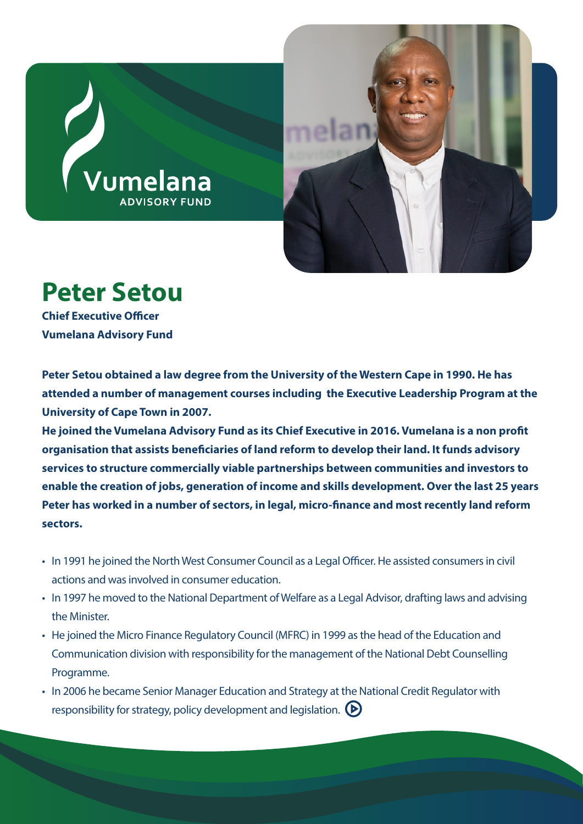



## **Peter Setou**

**Chief Executive Officer Vumelana Advisory Fund**

**Peter Setou obtained a law degree from the University of the Western Cape in 1990. He has attended a number of management courses including the Executive Leadership Program at the University of Cape Town in 2007.** 

He joined the Vumelana Advisory Fund as its Chief Executive in 2016. Vumelana is a non profit **organisation that assists beneficiaries of land reform to develop their land. It funds advisory services to structure commercially viable partnerships between communities and investors to enable the creation of jobs, generation of income and skills development. Over the last 25 years**  Peter has worked in a number of sectors, in legal, micro-finance and most recently land reform **sectors.**

- In 1991 he joined the North West Consumer Council as a Legal Officer. He assisted consumers in civil actions and was involved in consumer education.
- In 1997 he moved to the National Department of Welfare as a Legal Advisor, drafting laws and advising the Minister.
- He joined the Micro Finance Regulatory Council (MFRC) in 1999 as the head of the Education and Communication division with responsibility for the management of the National Debt Counselling Programme.
- In 2006 he became Senior Manager Education and Strategy at the National Credit Regulator with responsibility for strategy, policy development and legislation.  $\left(\blacktriangleright\right)$